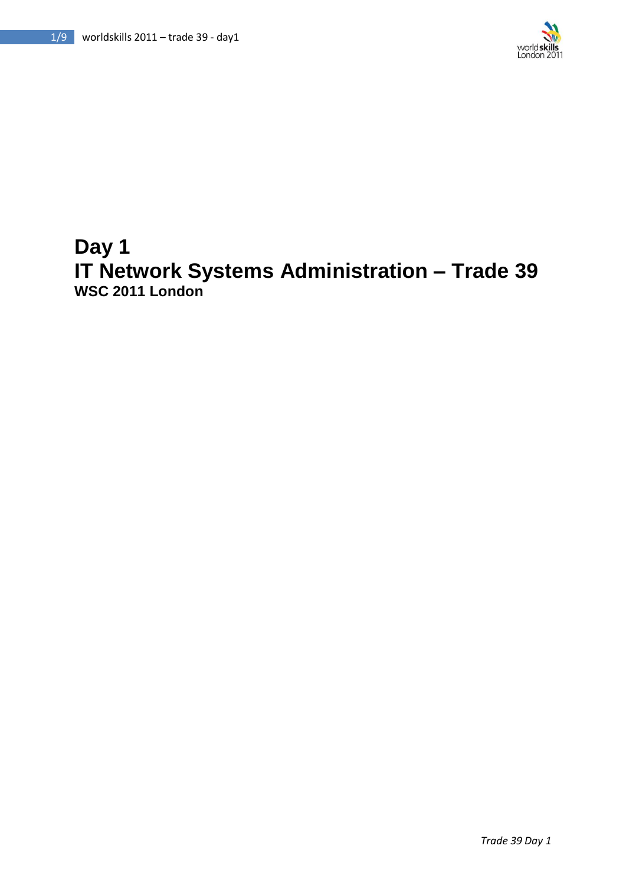

# **Day 1 IT Network Systems Administration – Trade 39 WSC 2011 London**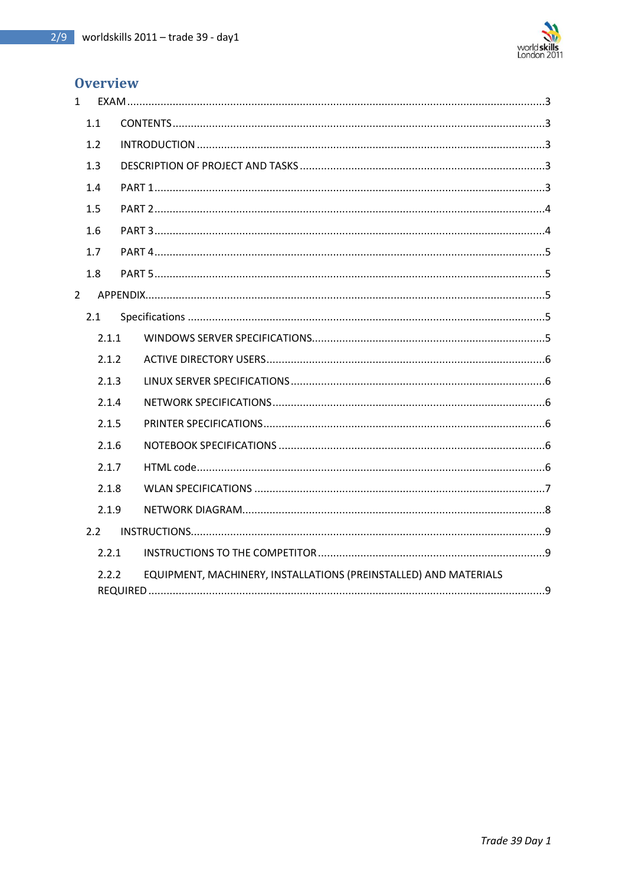

# **Overview**

| 1 |       |                                                                  |
|---|-------|------------------------------------------------------------------|
|   | 1.1   |                                                                  |
|   | 1.2   |                                                                  |
|   | 1.3   |                                                                  |
|   | 1.4   |                                                                  |
|   | 1.5   |                                                                  |
|   | 1.6   |                                                                  |
|   | 1.7   |                                                                  |
|   | 1.8   |                                                                  |
| 2 |       |                                                                  |
|   | 2.1   |                                                                  |
|   | 2.1.1 |                                                                  |
|   | 2.1.2 |                                                                  |
|   | 2.1.3 |                                                                  |
|   | 2.1.4 |                                                                  |
|   | 2.1.5 |                                                                  |
|   | 2.1.6 |                                                                  |
|   | 2.1.7 |                                                                  |
|   | 2.1.8 |                                                                  |
|   | 2.1.9 |                                                                  |
|   | 2.2   |                                                                  |
|   | 2.2.1 |                                                                  |
|   | 2.2.2 | EQUIPMENT, MACHINERY, INSTALLATIONS (PREINSTALLED) AND MATERIALS |
|   |       |                                                                  |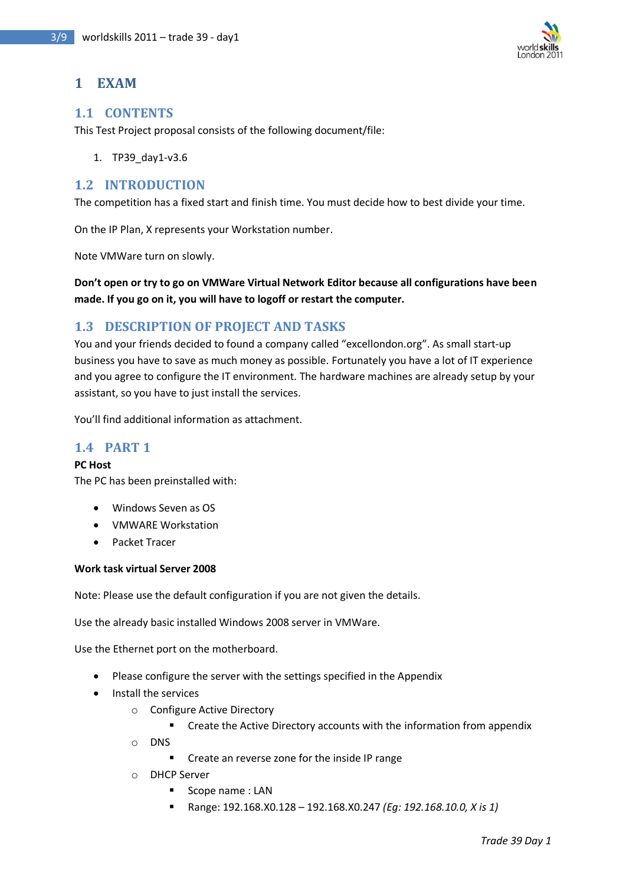

# <span id="page-2-0"></span>**1 EXAM**

### <span id="page-2-1"></span>**1.1 CONTENTS**

This Test Project proposal consists of the following document/file:

1. TP39\_day1-v3.6

### <span id="page-2-2"></span>**1.2 INTRODUCTION**

The competition has a fixed start and finish time. You must decide how to best divide your time.

On the IP Plan, X represents your Workstation number.

Note VMWare turn on slowly.

**Don't open or try to go on VMWare Virtual Network Editor because all configurations have been made. If you go on it, you will have to logoff or restart the computer.**

### <span id="page-2-3"></span>**1.3 DESCRIPTION OF PROJECT AND TASKS**

You and your friends decided to found a company called "excellondon.org". As small start-up business you have to save as much money as possible. Fortunately you have a lot of IT experience and you agree to configure the IT environment. The hardware machines are already setup by your assistant, so you have to just install the services.

You'll find additional information as attachment.

### <span id="page-2-4"></span>**1.4 PART 1**

### **PC Host**

The PC has been preinstalled with:

- Windows Seven as OS
- VMWARE Workstation
- Packet Tracer

#### **Work task virtual Server 2008**

Note: Please use the default configuration if you are not given the details.

Use the already basic installed Windows 2008 server in VMWare.

Use the Ethernet port on the motherboard.

- Please configure the server with the settings specified in the Appendix
- Install the services
	- o Configure Active Directory
		- **EXTERGHTM** Create the Active Directory accounts with the information from appendix
	- o DNS
		- **•** Create an reverse zone for the inside IP range
	- o DHCP Server
		- Scope name: LAN
		- Range: 192.168.X0.128 192.168.X0.247 *(Eg: 192.168.10.0, X is 1)*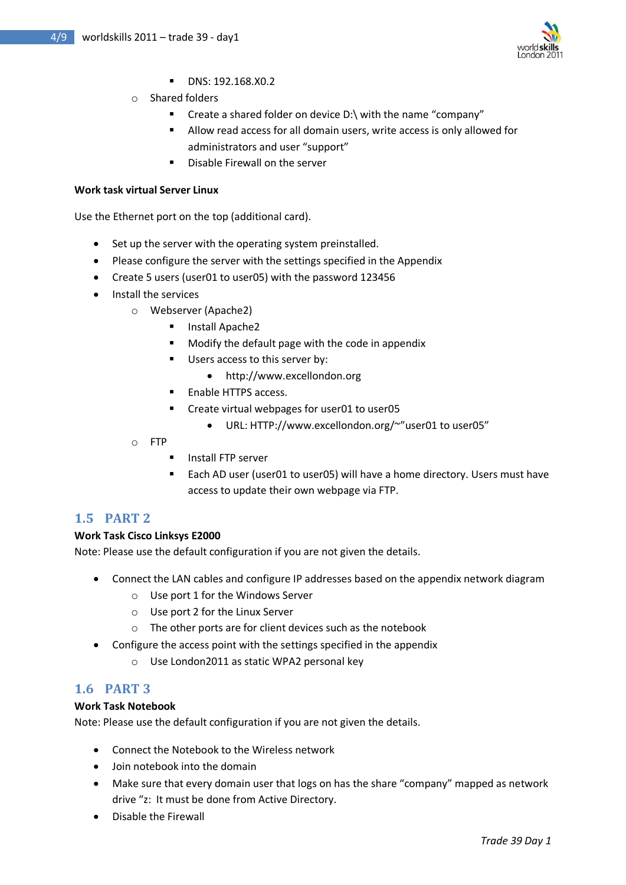

- **DNS: 192.168.X0.2**
- o Shared folders
	- Create a shared folder on device D:\ with the name "company"
	- Allow read access for all domain users, write access is only allowed for administrators and user "support"
	- Disable Firewall on the server

#### **Work task virtual Server Linux**

Use the Ethernet port on the top (additional card).

- Set up the server with the operating system preinstalled.
- Please configure the server with the settings specified in the Appendix
- Create 5 users (user01 to user05) with the password 123456
- Install the services
	- o Webserver (Apache2)
		- Install Apache2
		- Modify the default page with the code in appendix
		- Users access to this server by:
			- http://www.excellondon.org
		- **Enable HTTPS access.**
		- **EXP** Create virtual webpages for user01 to user05
			- URL: HTTP://www.excellondon.org/~"user01 to user05"
	- o FTP
		- **Install FTP server**
		- Each AD user (user01 to user05) will have a home directory. Users must have access to update their own webpage via FTP.

### <span id="page-3-0"></span>**1.5 PART 2**

#### **Work Task Cisco Linksys E2000**

Note: Please use the default configuration if you are not given the details.

- Connect the LAN cables and configure IP addresses based on the appendix network diagram
	- o Use port 1 for the Windows Server
	- o Use port 2 for the Linux Server
	- o The other ports are for client devices such as the notebook
- Configure the access point with the settings specified in the appendix
	- o Use London2011 as static WPA2 personal key

### <span id="page-3-1"></span>**1.6 PART 3**

#### **Work Task Notebook**

Note: Please use the default configuration if you are not given the details.

- Connect the Notebook to the Wireless network
- Join notebook into the domain
- Make sure that every domain user that logs on has the share "company" mapped as network drive "z: It must be done from Active Directory.
- Disable the Firewall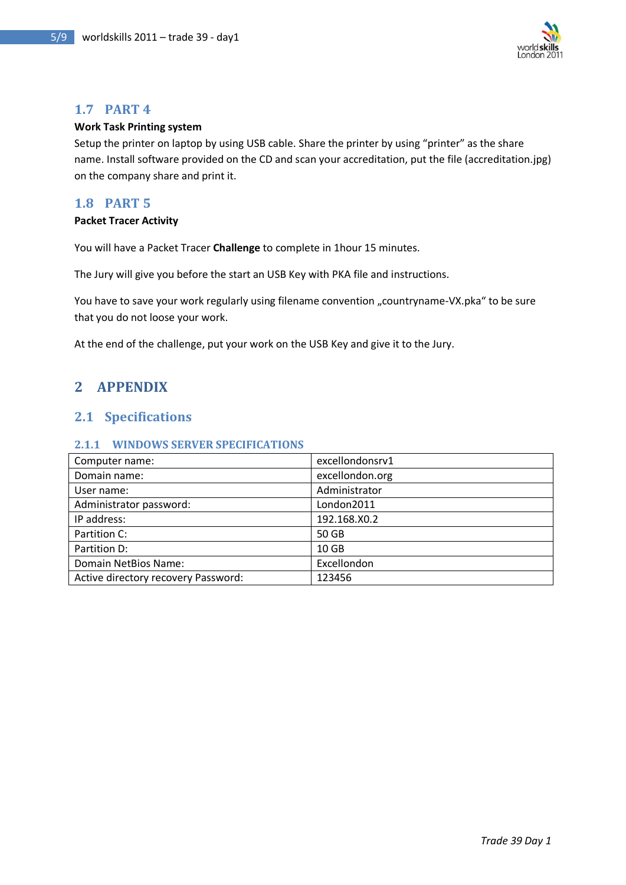

### <span id="page-4-0"></span>**1.7 PART 4**

#### **Work Task Printing system**

Setup the printer on laptop by using USB cable. Share the printer by using "printer" as the share name. Install software provided on the CD and scan your accreditation, put the file (accreditation.jpg) on the company share and print it.

### <span id="page-4-1"></span>**1.8 PART 5**

#### **Packet Tracer Activity**

You will have a Packet Tracer **Challenge** to complete in 1hour 15 minutes.

The Jury will give you before the start an USB Key with PKA file and instructions.

You have to save your work regularly using filename convention "countryname-VX.pka" to be sure that you do not loose your work.

At the end of the challenge, put your work on the USB Key and give it to the Jury.

# <span id="page-4-2"></span>**2 APPENDIX**

### <span id="page-4-3"></span>**2.1 Specifications**

#### <span id="page-4-4"></span>**2.1.1 WINDOWS SERVER SPECIFICATIONS**

| Computer name:                      | excellondonsrv1  |
|-------------------------------------|------------------|
| Domain name:                        | excellondon.org  |
| User name:                          | Administrator    |
| Administrator password:             | London2011       |
| IP address:                         | 192.168.X0.2     |
| Partition C:                        | 50 GB            |
| Partition D:                        | 10 <sub>GB</sub> |
| Domain NetBios Name:                | Excellondon      |
| Active directory recovery Password: | 123456           |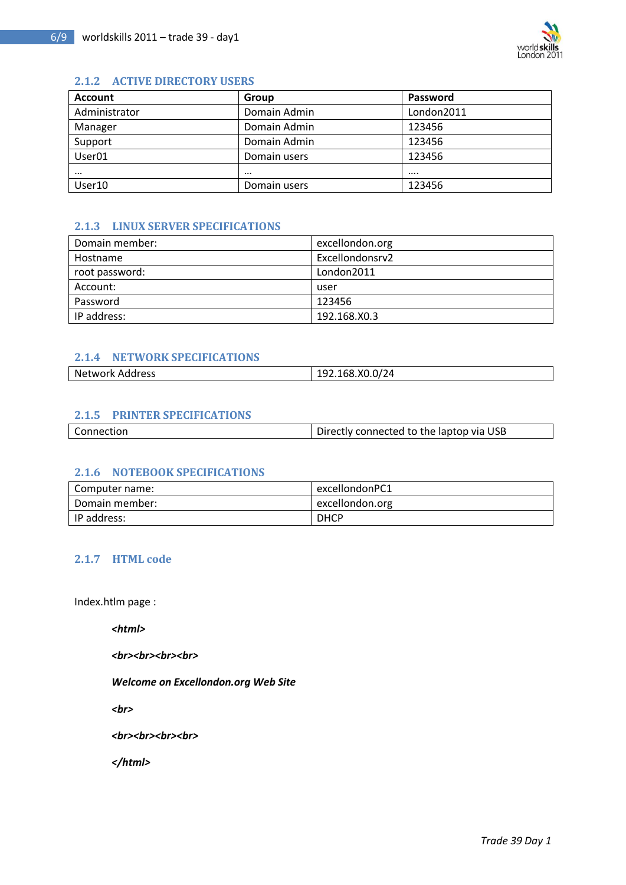

#### <span id="page-5-0"></span>**2.1.2 ACTIVE DIRECTORY USERS**

| <b>Account</b>     | Group        | Password   |
|--------------------|--------------|------------|
| Administrator      | Domain Admin | London2011 |
| Manager            | Domain Admin | 123456     |
| Support            | Domain Admin | 123456     |
| User <sub>01</sub> | Domain users | 123456     |
| $\cdots$           | $\cdots$     | $\cdots$   |
| User10             | Domain users | 123456     |

### <span id="page-5-1"></span>**2.1.3 LINUX SERVER SPECIFICATIONS**

| Domain member: | excellondon.org |
|----------------|-----------------|
| Hostname       | Excellondonsrv2 |
| root password: | London2011      |
| Account:       | user            |
| Password       | 123456          |
| IP address:    | 192.168.X0.3    |

### <span id="page-5-2"></span>**2.1.4 NETWORK SPECIFICATIONS**

| Network Address | 192.168.X0.0/24 |
|-----------------|-----------------|
|                 |                 |

### <span id="page-5-3"></span>**2.1.5 PRINTER SPECIFICATIONS**

| Connection | Directly connected to the laptop via USB |
|------------|------------------------------------------|
|            |                                          |

### <span id="page-5-4"></span>**2.1.6 NOTEBOOK SPECIFICATIONS**

| Computer name: | excellondonPC1  |
|----------------|-----------------|
| Domain member: | excellondon.org |
| IP address:    | <b>DHCP</b>     |

### <span id="page-5-5"></span>**2.1.7 HTML code**

Index.htlm page :

*<html>*

<br>><br><br><br><br><br><br><br><br><br><br><br><br><br><br><br><br><br><br><br><br><br><br><br><br><br><br>

*Welcome on Excellondon.org Web Site* 

*<br>*

<br>><br><br><br><br><br><br><br><br><br><br><br><br><br><br><br><br><br><br><br><br><br><br>

*</html>*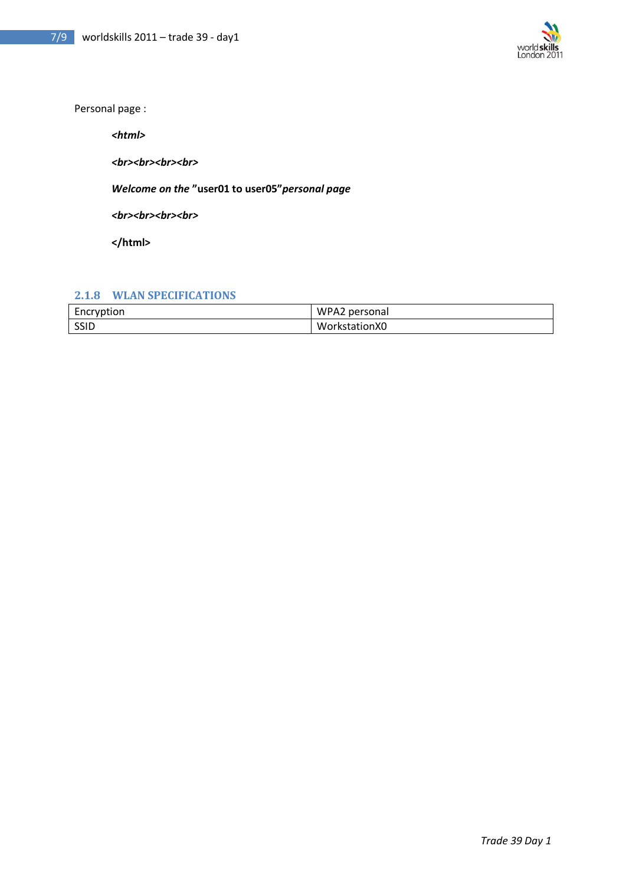

Personal page :

*<html>*

<br>>  $\mathsf{ch}$ r><br>>  $\mathsf{ch}$ r>

*Welcome on the* **"user01 to user05"***personal page* 

<br>> */>*<br><br><br><br><br><br><br><br><br><br><br><br><br><br><br><br><br><br><br><br><br><br><br><br><br><br><br><br><br><br><br><br>

**</html>**

### <span id="page-6-0"></span>**2.1.8 WLAN SPECIFICATIONS**

| Encryption | WPA2 personal |
|------------|---------------|
| SSID       | WorkstationX0 |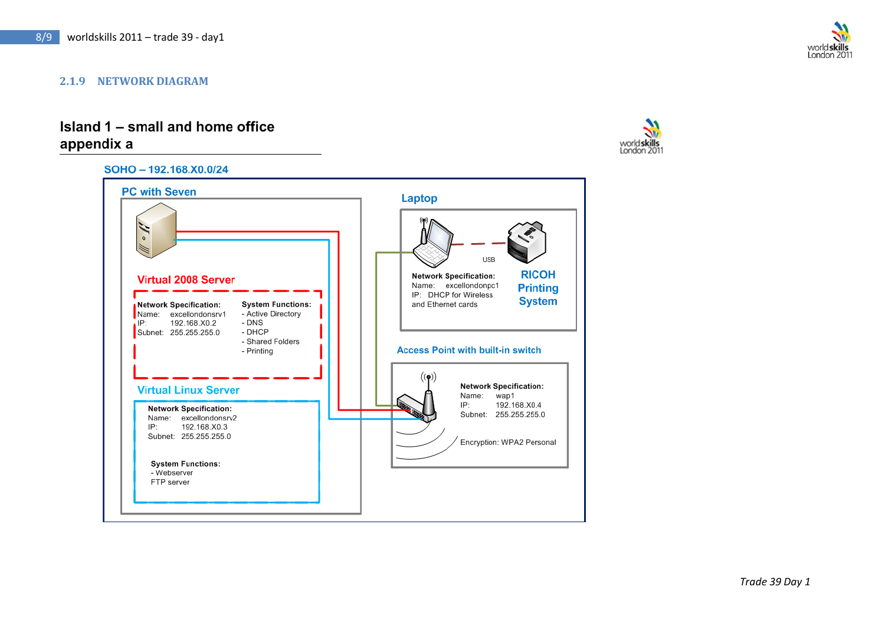#### **2.1.9 NETWORK DIAGRAM**

# Island 1 - small and home office appendix a

<span id="page-7-0"></span>



London 201